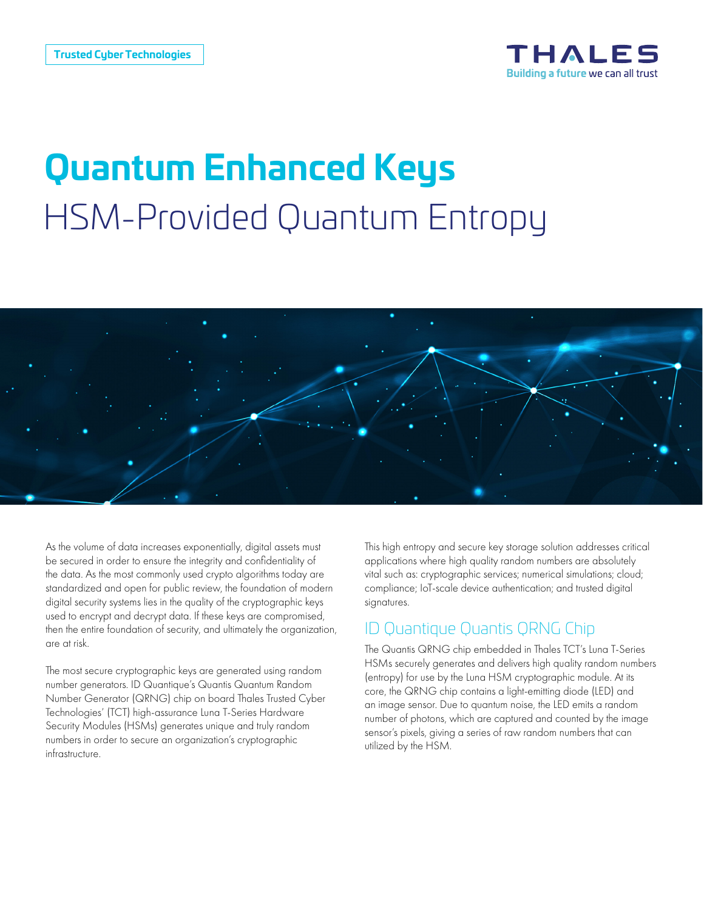

# **Quantum Enhanced Keys** HSM-Provided Quantum Entropy



As the volume of data increases exponentially, digital assets must be secured in order to ensure the integrity and confidentiality of the data. As the most commonly used crypto algorithms today are standardized and open for public review, the foundation of modern digital security systems lies in the quality of the cryptographic keys used to encrypt and decrypt data. If these keys are compromised, then the entire foundation of security, and ultimately the organization, are at risk.

The most secure cryptographic keys are generated using random number generators. ID Quantique's Quantis Quantum Random Number Generator (QRNG) chip on board Thales Trusted Cyber Technologies' (TCT) high-assurance Luna T-Series Hardware Security Modules (HSMs) generates unique and truly random numbers in order to secure an organization's cryptographic infrastructure.

This high entropy and secure key storage solution addresses critical applications where high quality random numbers are absolutely vital such as: cryptographic services; numerical simulations; cloud; compliance; IoT-scale device authentication; and trusted digital signatures.

#### ID Quantique Quantis QRNG Chip

The Quantis QRNG chip embedded in Thales TCT's Luna T-Series HSMs securely generates and delivers high quality random numbers (entropy) for use by the Luna HSM cryptographic module. At its core, the QRNG chip contains a light-emitting diode (LED) and an image sensor. Due to quantum noise, the LED emits a random number of photons, which are captured and counted by the image sensor's pixels, giving a series of raw random numbers that can utilized by the HSM.